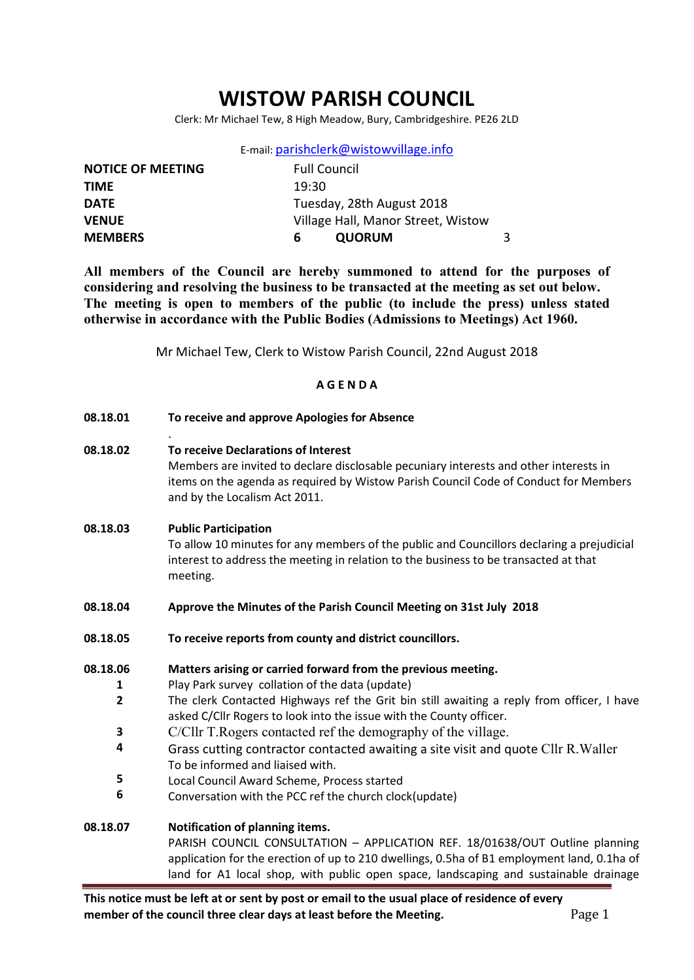# WISTOW PARISH COUNCIL

Clerk: Mr Michael Tew, 8 High Meadow, Bury, Cambridgeshire. PE26 2LD

|  | E-mail: parishclerk@wistowvillage.info |  |
|--|----------------------------------------|--|
|--|----------------------------------------|--|

| <b>NOTICE OF MEETING</b> | <b>Full Council</b>                |  |
|--------------------------|------------------------------------|--|
| <b>TIME</b>              | 19:30                              |  |
| <b>DATE</b>              | Tuesday, 28th August 2018          |  |
| <b>VENUE</b>             | Village Hall, Manor Street, Wistow |  |
| <b>MEMBERS</b>           | <b>QUORUM</b><br>h                 |  |

All members of the Council are hereby summoned to attend for the purposes of considering and resolving the business to be transacted at the meeting as set out below. The meeting is open to members of the public (to include the press) unless stated otherwise in accordance with the Public Bodies (Admissions to Meetings) Act 1960.

Mr Michael Tew, Clerk to Wistow Parish Council, 22nd August 2018

#### A G E N D A

| 08.18.01                                            | To receive and approve Apologies for Absence                                                                                                                                                                                                                                                                                                                                                                                                                                                                                                                                            |
|-----------------------------------------------------|-----------------------------------------------------------------------------------------------------------------------------------------------------------------------------------------------------------------------------------------------------------------------------------------------------------------------------------------------------------------------------------------------------------------------------------------------------------------------------------------------------------------------------------------------------------------------------------------|
| 08.18.02                                            | To receive Declarations of Interest<br>Members are invited to declare disclosable pecuniary interests and other interests in<br>items on the agenda as required by Wistow Parish Council Code of Conduct for Members<br>and by the Localism Act 2011.                                                                                                                                                                                                                                                                                                                                   |
| 08.18.03                                            | <b>Public Participation</b><br>To allow 10 minutes for any members of the public and Councillors declaring a prejudicial<br>interest to address the meeting in relation to the business to be transacted at that<br>meeting.                                                                                                                                                                                                                                                                                                                                                            |
| 08.18.04                                            | Approve the Minutes of the Parish Council Meeting on 31st July 2018                                                                                                                                                                                                                                                                                                                                                                                                                                                                                                                     |
| 08.18.05                                            | To receive reports from county and district councillors.                                                                                                                                                                                                                                                                                                                                                                                                                                                                                                                                |
| 08.18.06<br>1<br>$\overline{2}$<br>3<br>4<br>5<br>6 | Matters arising or carried forward from the previous meeting.<br>Play Park survey collation of the data (update)<br>The clerk Contacted Highways ref the Grit bin still awaiting a reply from officer, I have<br>asked C/Cllr Rogers to look into the issue with the County officer.<br>C/Cllr T. Rogers contacted ref the demography of the village.<br>Grass cutting contractor contacted awaiting a site visit and quote Cllr R. Waller<br>To be informed and liaised with.<br>Local Council Award Scheme, Process started<br>Conversation with the PCC ref the church clock(update) |
| 08.18.07                                            | Notification of planning items.<br>PARISH COUNCIL CONSULTATION - APPLICATION REF. 18/01638/OUT Outline planning<br>application for the erection of up to 210 dwellings, 0.5ha of B1 employment land, 0.1ha of<br>land for A1 local shop, with public open space, landscaping and sustainable drainage                                                                                                                                                                                                                                                                                   |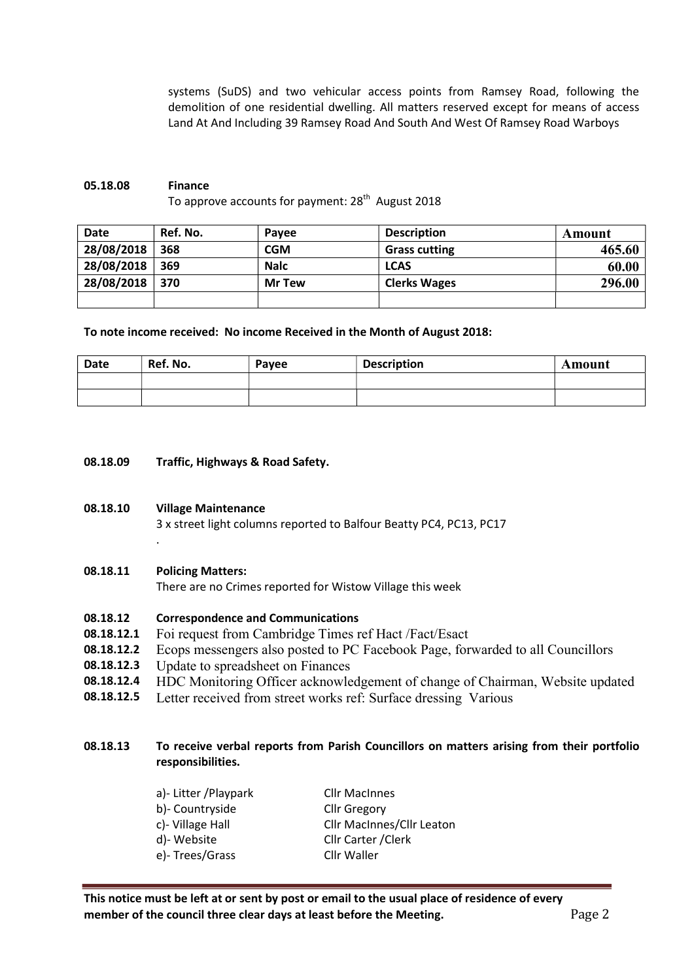systems (SuDS) and two vehicular access points from Ramsey Road, following the demolition of one residential dwelling. All matters reserved except for means of access Land At And Including 39 Ramsey Road And South And West Of Ramsey Road Warboys

## 05.18.08 Finance To approve accounts for payment: 28<sup>th</sup> August 2018

| Date       | Ref. No. | Pavee         | <b>Description</b>   | Amount |
|------------|----------|---------------|----------------------|--------|
| 28/08/2018 | 368      | CGM           | <b>Grass cutting</b> | 465.60 |
| 28/08/2018 | 369      | <b>Nalc</b>   | <b>LCAS</b>          | 60.00  |
| 28/08/2018 | 370      | <b>Mr Tew</b> | <b>Clerks Wages</b>  | 296.00 |
|            |          |               |                      |        |

To note income received: No income Received in the Month of August 2018:

| Date | Ref. No. | Payee | <b>Description</b> | Amount |
|------|----------|-------|--------------------|--------|
|      |          |       |                    |        |
|      |          |       |                    |        |

08.18.09 Traffic, Highways & Road Safety.

### 08.18.10 Village Maintenance

3 x street light columns reported to Balfour Beatty PC4, PC13, PC17

### 08.18.11 Policing Matters:

.

There are no Crimes reported for Wistow Village this week

#### 08.18.12 Correspondence and Communications

- 08.18.12.1 Foi request from Cambridge Times ref Hact /Fact/Esact
- 08.18.12.2 Ecops messengers also posted to PC Facebook Page, forwarded to all Councillors
- 08.18.12.3 Update to spreadsheet on Finances
- 08.18.12.4 HDC Monitoring Officer acknowledgement of change of Chairman, Website updated
- 08.18.12.5 Letter received from street works ref: Surface dressing Various

## 08.18.13 To receive verbal reports from Parish Councillors on matters arising from their portfolio responsibilities.

| a)- Litter / Playpark | <b>Cllr MacInnes</b>             |
|-----------------------|----------------------------------|
| b)- Countryside       | <b>Cllr Gregory</b>              |
| c)- Village Hall      | <b>Cllr MacInnes/Cllr Leaton</b> |
| d)-Website            | Cllr Carter / Clerk              |
| e)-Trees/Grass        | Cllr Waller                      |
|                       |                                  |